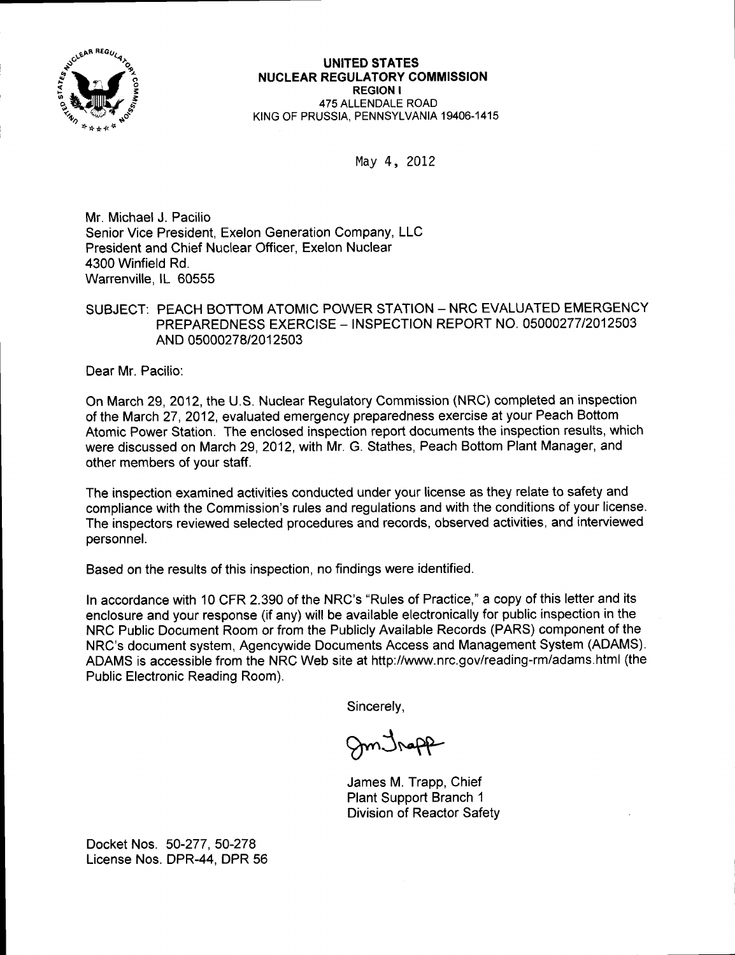

May 4, 2012

Mr. Michael J. Pacilio Senior Vice President, Exelon Generation Company, LLC President and Chief Nuclear Officer, Exelon Nuclear 4300 Winfield Rd. Warrenville, lL 60555

### SUBJECT: PEACH BOTTOM ATOMIC POWER STATION - NRC EVALUATED EMERGENCY PREPAREDNESS EXERCISE - INSPECTION REPORT NO. O5OOO277I2O125O3 AND 05000278/2012503

Dear Mr. Pacilio:

On March 29, 2012, the U.S. Nuclear Regulatory Commission (NRC) completed an inspection of the March 27,2012, evaluated emergency preparedness exercise at your Peach Bottom Atomic Power Station. The enclosed inspection report documents the inspection results, which were discussed on March 29, 2012, with Mr. G. Stathes, Peach Bottom Plant Manager, and other members of your staff.

The inspection examined activities conducted under your license as they relate to safety and compliance with the Commission's rules and regulations and with the conditions of your license. The inspectors reviewed selected procedures and records, observed activities, and interviewed personnel.

Based on the results of this inspection, no findings were identified.

ln accordance with 10 CFR 2390 of the NRC's "Rules of Practice," a copy of this letter and its enclosure and your response (if any) will be available electronically for public inspection in the NRC Public Document Room or from the Publicly Available Records (PARS) component of the NRC's document system, Agencywide Documents Access and Management System (ADAMS). ADAMS is accessible from the NRC Web site at http://www.nrc.gov/reading-rm/adams.html (the Public Electronic Reading Room).

Sincerely,

Sm Jrapp

James M. Trapp, Chief Plant Support Branch <sup>1</sup> Division of Reactor Safety

Docket Nos. 50-277, 50-278 License Nos. DPR-44, DPR 56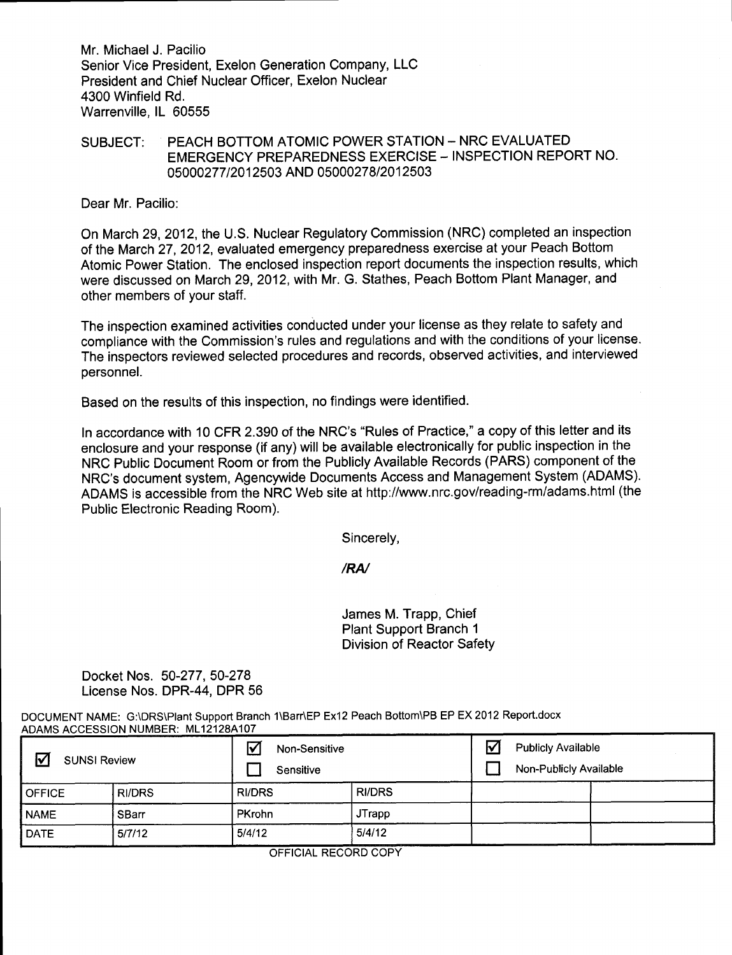Mr. Michael J. Pacilio Senior Vice President, Exelon Generation Company, LLC President and Chief Nuclear Officer, Exelon Nuclear 4300 Winfield Rd. Warrenville, lL 60555

#### SUBJECT: PEACH BOTTOM ATOMIC POWER STATION - NRC EVALUATED EMERGENCY PREPAREDNESS EXERCISE - INSPECTION REPORT NO. 05000277/2012503 AND 05000278/2012503

Dear Mr. Pacilio:

On March 29,2012, the U.S. Nuclear Regulatory Commission (NRC) completed an inspection of the March 27,2012, evaluated emergency preparedness exercise at your Peach Bottom Atomic Power Station. The enclosed inspection report documents the inspection results, which were discussed on March 29,2012, with Mr. G. Stathes, Peach Bottom Plant Manager, and other members of your staff.

The inspection examined activities conducted under your license as they relate to safety and compliance with the Commission's rules and regulations and with the conditions of your license. The inspectors reviewed selected procedures and records, observed activities, and interviewed personnel.

Based on the results of this inspection, no findings were identified.

In accordance with 10 CFR 2.390 of the NRC's "Rules of Practice," a copy of this letter and its enclosure and your response (if any) will be available electronically for public inspection in the NRC Public Document Room or from the Publicly Available Records (PARS) component of the NRC's document system, Agencywide Documents Access and Management System (ADAMS). ADAMS is accessible from the NRC Web site at http://www.nrc.gov/reading-rm/adams.html (the Public Electronic Reading Room).

Sincerely,

/RN

James M. Trapp, Chief Plant Support Branch <sup>1</sup> Division of Reactor Safety

Docket Nos. 50-277, 50-278 License Nos. DPR-44, DPR 56

DOCUMENT NAME: G:\DRS\Plant Support Branch 1\Barr\EP Ex12 Peach Bottom\PB EP EX 2012 Report.docx ADAMS ACCESSION NUMBER: ML12128A107

| $\triangledown$<br><b>SUNSI Review</b> |               | ΙV<br>Non-Sensitive<br>Sensitive |               | V | <b>Publicly Available</b><br>Non-Publicly Available |  |
|----------------------------------------|---------------|----------------------------------|---------------|---|-----------------------------------------------------|--|
| <b>OFFICE</b>                          | <b>RI/DRS</b> | <b>RI/DRS</b>                    | <b>RI/DRS</b> |   |                                                     |  |
| <b>NAME</b>                            | SBarr         | PKrohn                           | <b>JTrapp</b> |   |                                                     |  |
| <b>DATE</b>                            | 5/7/12        | 5/4/12                           | 5/4/12        |   |                                                     |  |

OFFICIAL RECORD COPY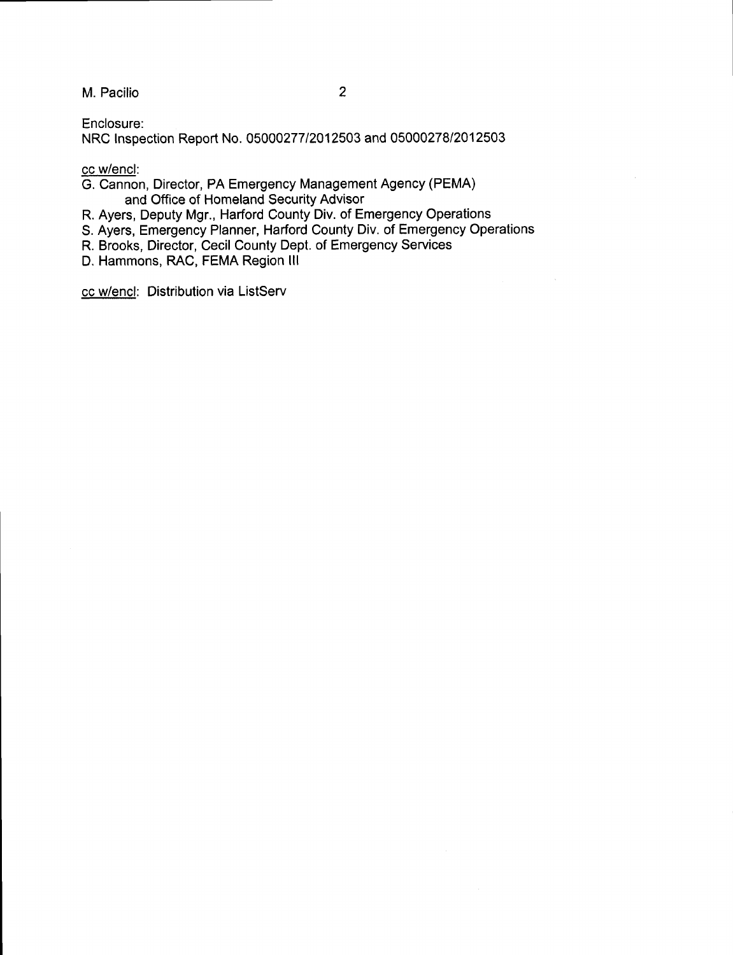M. Pacilio <sup>2</sup>

Enclosure:

NRC lnspection Report No. 05000277/2012503 and 0500027812012503

cc w/encl:

G. Cannon, Director, PA Emergency Management Agency (PEMA) and Office of Homeland Security Advisor

R. Ayers, Deputy Mgr., Harford County Div. of Emergency Operations

S. Ayers, Emergency Planner, Harford County Div. of Emergency Operations

R. Brooks, Director, Cecil County Dept. of Emergency Services

D. Hammons, RAC, FEMA Region lll

cc w/encl: Distribution via ListServ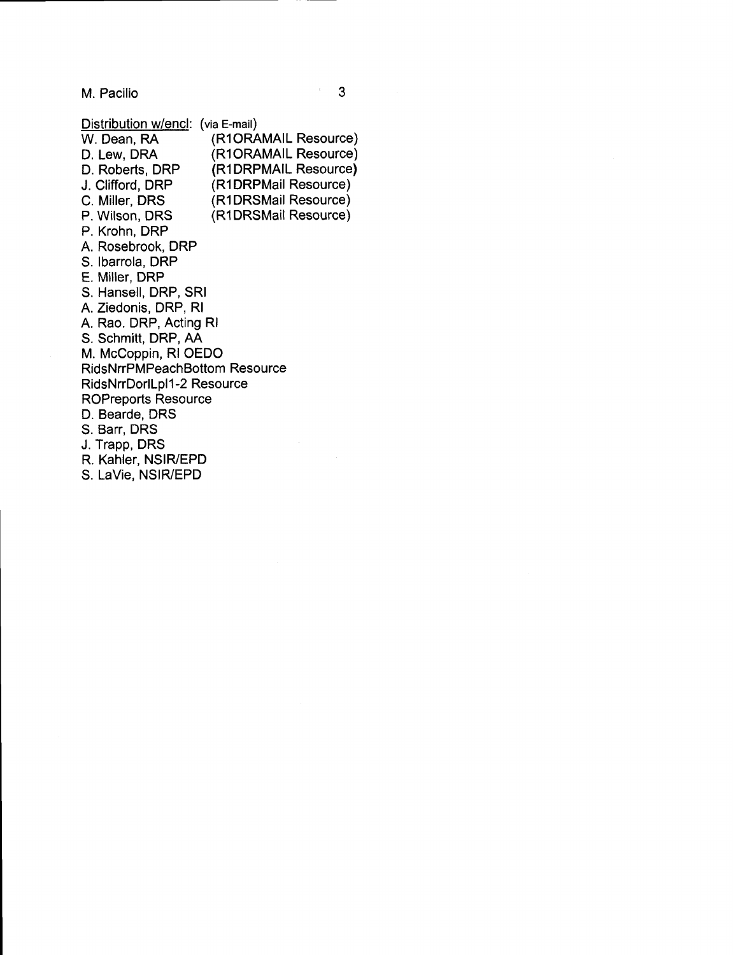M. Pacilio 3

| Distribution w/encl:                 | (via E-mail)         |  |  |  |  |
|--------------------------------------|----------------------|--|--|--|--|
| W. Dean, RA                          | (R1ORAMAIL Resource) |  |  |  |  |
| D. Lew, DRA                          | (R1ORAMAIL Resource) |  |  |  |  |
| D. Roberts, DRP                      | (R1DRPMAIL Resource) |  |  |  |  |
| J. Clifford, DRP                     | (R1DRPMail Resource) |  |  |  |  |
| C. Miller, DRS                       | (R1DRSMail Resource) |  |  |  |  |
| P. Wilson, DRS                       | (R1DRSMail Resource) |  |  |  |  |
| P. Krohn, DRP                        |                      |  |  |  |  |
| A. Rosebrook, DRP                    |                      |  |  |  |  |
| S. Ibarrola, DRP                     |                      |  |  |  |  |
| E. Miller, DRP                       |                      |  |  |  |  |
| S. Hansell, DRP, SRI                 |                      |  |  |  |  |
| A. Ziedonis, DRP, RI                 |                      |  |  |  |  |
| A. Rao. DRP, Acting RI               |                      |  |  |  |  |
| S. Schmitt, DRP, AA                  |                      |  |  |  |  |
| M. McCoppin, RI OEDO                 |                      |  |  |  |  |
| <b>RidsNrrPMPeachBottom Resource</b> |                      |  |  |  |  |
| RidsNrrDorlLpl1-2 Resource           |                      |  |  |  |  |
| <b>ROPreports Resource</b>           |                      |  |  |  |  |
| D. Bearde, DRS                       |                      |  |  |  |  |
| S. Barr, DRS                         |                      |  |  |  |  |
| J. Trapp, DRS                        |                      |  |  |  |  |
| R. Kahler, NSIR/EPD                  |                      |  |  |  |  |

S. LaVie, NSIRYEPD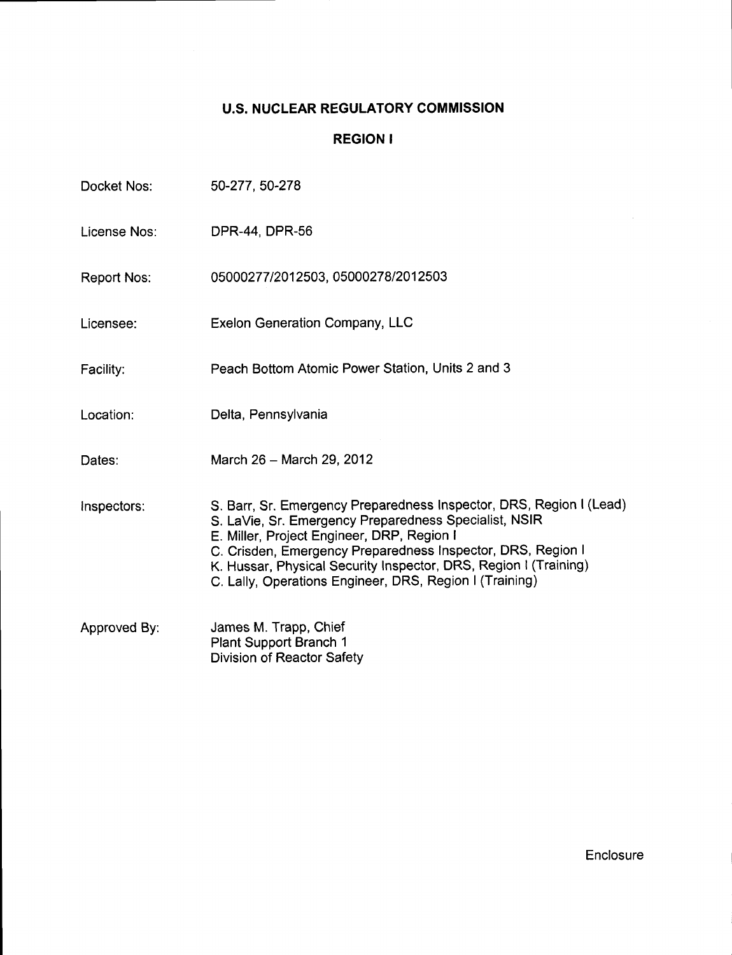# U.S. NUCLEAR REGULATORY COMMISSION

## REGION I

| Docket Nos:        | 50-277, 50-278                                                                                                                                                                                                                                                                                                                                                           |
|--------------------|--------------------------------------------------------------------------------------------------------------------------------------------------------------------------------------------------------------------------------------------------------------------------------------------------------------------------------------------------------------------------|
| License Nos:       | DPR-44, DPR-56                                                                                                                                                                                                                                                                                                                                                           |
| <b>Report Nos:</b> | 05000277/2012503, 05000278/2012503                                                                                                                                                                                                                                                                                                                                       |
| Licensee:          | <b>Exelon Generation Company, LLC</b>                                                                                                                                                                                                                                                                                                                                    |
| Facility:          | Peach Bottom Atomic Power Station, Units 2 and 3                                                                                                                                                                                                                                                                                                                         |
| Location:          | Delta, Pennsylvania                                                                                                                                                                                                                                                                                                                                                      |
| Dates:             | March 26 - March 29, 2012                                                                                                                                                                                                                                                                                                                                                |
| Inspectors:        | S. Barr, Sr. Emergency Preparedness Inspector, DRS, Region I (Lead)<br>S. LaVie, Sr. Emergency Preparedness Specialist, NSIR<br>E. Miller, Project Engineer, DRP, Region I<br>C. Crisden, Emergency Preparedness Inspector, DRS, Region I<br>K. Hussar, Physical Security Inspector, DRS, Region I (Training)<br>C. Lally, Operations Engineer, DRS, Region I (Training) |
| Approved By:       | James M. Trapp, Chief<br>Plant Support Branch 1<br><b>Division of Reactor Safety</b>                                                                                                                                                                                                                                                                                     |

Enclosure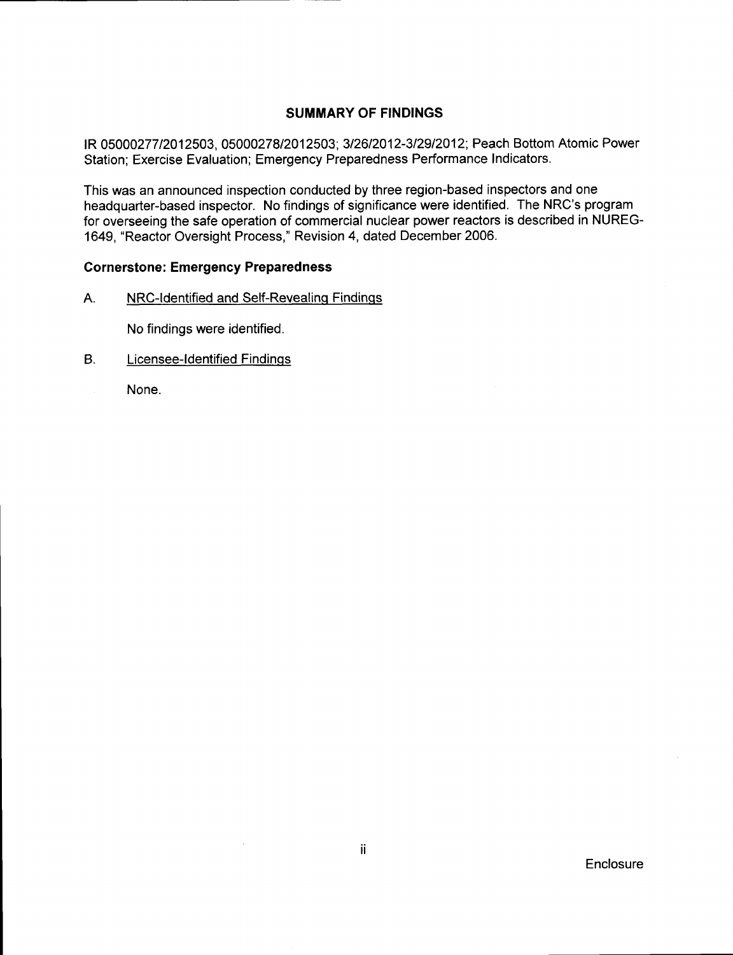### SUMMARY OF FINDINGS

lR 0500027712012503,0500027812012503;312612012-312912012; Peach Bottom Atomic Power Station; Exercise Evaluation; Emergency Preparedness Performance Indicators.

This was an announced inspection conducted by three region-based inspectors and one headquarter-based inspector. No findings of significance were identified. The NRC's program for overseeing the safe operation of commercial nuclear power reactors is described in NUREG-1649, "Reactor Oversight Process," Revision 4, dated December 2006.

#### Cornerstone: Emergency Preparedness

A. NRC-Identified and Self-Revealing Findings

No findings were identified.

- B. Licensee-ldentified Findinqs
	- None.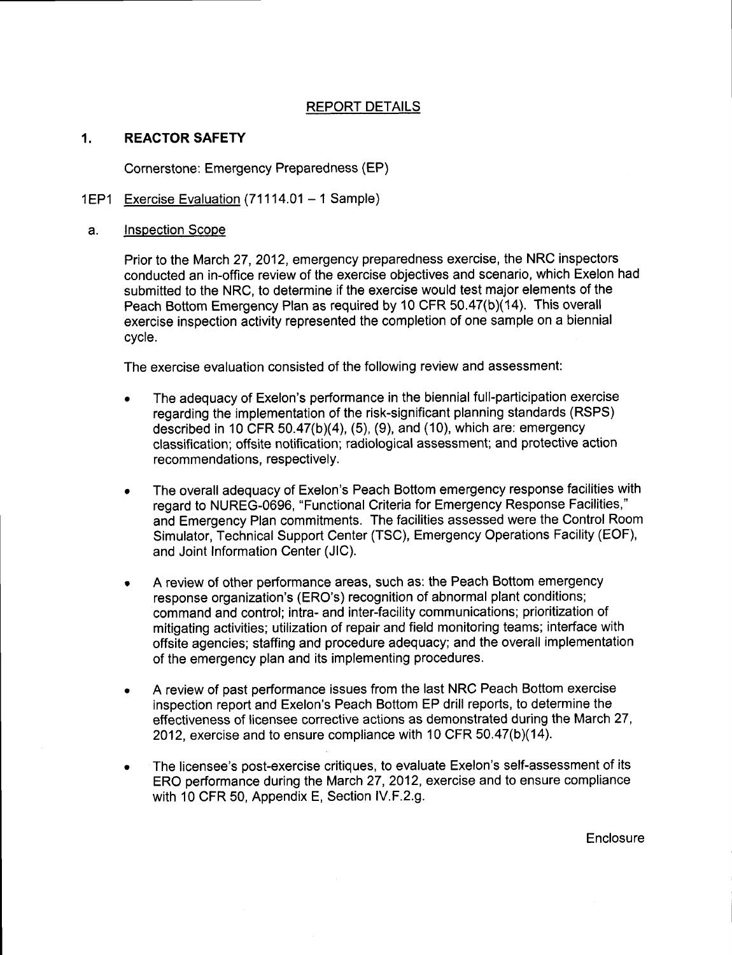#### REPORT DETAILS

#### 1. **REACTOR SAFETY**

Cornerstone: Emergency Preparedness (EP)

#### 1EP1 Exercise Evaluation (71114.01 - 1 Sample)

#### a. Inspection Scooe

Prior to the March 27, 2012, emergency preparedness exercise, the NRC inspectors conducted an in-offlce review of the exercise objectives and scenario, which Exelon had submitted to the NRC, to determine if the exercise would test major elements of the Peach Bottom Emergency Plan as required by 10 CFR 50.47(b)(14). This overall exercise inspection activity represented the completion of one sample on a biennial cycle.

The exercise evaluation consisted of the following review and assessment:

- The adequacy of Exelon's performance in the biennial full-participation exercise regarding the implementation of the risk-significant planning standards (RSPS) described in 10 CFR  $50.47(b)(4)$ ,  $(5)$ ,  $(9)$ , and  $(10)$ , which are: emergency classification; offsite notification; radiological assessment; and protective action recommendations, respectively.
- The overall adequacy of Exelon's Peach Bottom emergency response facilities with  $\bullet$ regard to NUREG-0696, "Functional Criteria for Emergency Response Facilities," and Emergency Plan commitments. The facilities assessed were the Control Room Simulator, Technical Support Center (TSC), Emergency Operations Facility (EOF), and Joint Information Center (JlC).
- A review of other performance areas, such as: the Peach Bottom emergency response organization's (ERO's) recognition of abnormal plant conditions; command and control; intra- and inter-facility communications; prioritization of mitigating activities; utilization of repair and field monitoring teams; interface with offsite agencies; staffing and procedure adequacy; and the overall implementation of the emergency plan and its implementing procedures.
- A review of past performance issues from the last NRC Peach Bottom exercise  $\bullet$ inspection report and Exelon's Peach Bottom EP drill reports, to determine the effectiveness of licensee corrective actions as demonstrated during the March 27, 2012, exercise and to ensure compliance with 10 CFR 50.47(b)(14).
- The licensee's post-exercise critiques, to evaluate Exelon's self-assessment of its ERO performance during the March 27,2012, exercise and to ensure compliance with 10 CFR 50, Appendix E, Section lV.F.2.g.

**Enclosure**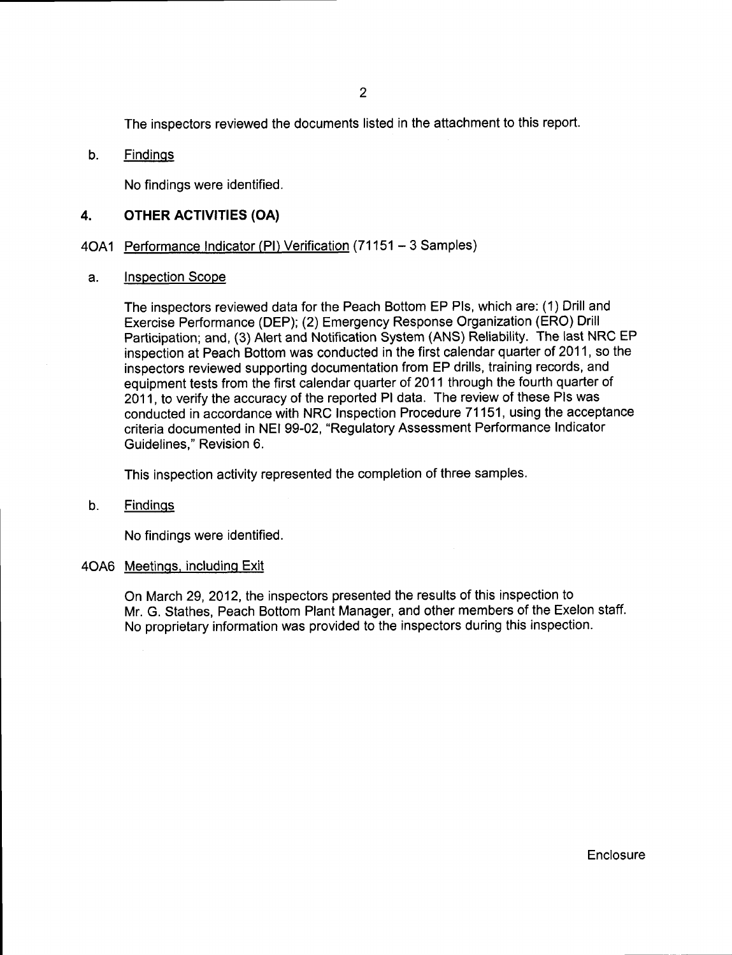The inspectors reviewed the documents listed in the attachment to this report.

#### b. Findinqs

No findings were identified.

### 4. OTHER ACTIVITIES (OA)

#### 4OA1 Performance Indicator (PI) Verification (71151 - 3 Samples)

#### a. Inspection Scope

The inspectors reviewed data for the Peach Bottom EP Pls, which are: (1) Drill and Exercise Performance (DEP); (2) Emergency Response Organization (ERO) Drill Participation; and, (3) Alert and Notification System (ANS) Reliability. The last NRC EP inspection at Peach Bottom was conducted in the first calendar quarter of 2011, so the inspectors reviewed supporting documentation from EP drills, training records, and equipment tests from the first calendar quarter of 2011 through the fourth quarter of 2011, to verify the accuracy of the reported Pl data. The review of these Pls was conducted in accordance with NRC Inspection Procedure 71151, using the acceptance criteria documented in NEI 99-02, "Regulatory Assessment Performance Indicator Guidelines," Revision 6.

This inspection activity represented the completion of three samples.

#### b. Findinqs

No findings were identified.

#### 4OAO Meetinqs. includinq Exit

On March 29, 2012, the inspectors presented the results of this inspection to Mr. G. Stathes, Peach Bottom Plant Manager, and other members of the Exelon staff. No proprietary information was provided to the inspectors during this inspection.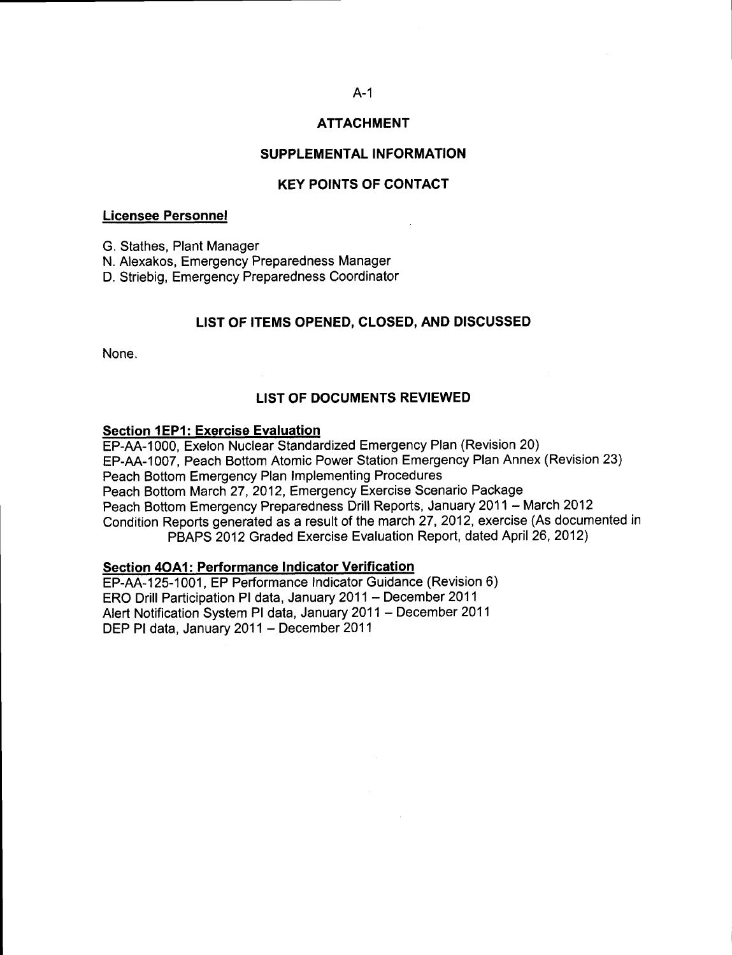# A-1 ATTACHMENT

#### SUPPLEMENTAL INFORMATION

#### KEY POINTS OF CONTACT

#### Licensee Personnel

G. Stathes, Plant Manager

N. Alexakos, Emergency Preparedness Manager

D. Striebig, Emergency Preparedness Coordinator

#### LIST OF ITEMS OPENED, CLOSED, AND DISCUSSED

None.

#### LIST OF DOCUMENTS REVIEWED

#### Section 1EPl: Exercise Evaluation

EP-AA-1000, Exelon Nuclear Standardized Emergency Plan (Revision 20) EP-AA-1007, Peach Bottom Atomic Power Station Emergency Plan Annex (Revision 23) Peach Bottom Emergency Plan lmplementing Procedures Peach Bottom March 27,2012, Emergency Exercise Scenario Package Peach Bottom Emergency Preparedness Drill Reports, January 2011 - March 2012 Condition Reports generated as a result of the march 27, 2012, exercise (As documented in PBAPS 2012 Graded Exercise Evaluation Report, dated April 26, 2012)

#### Section 4OA1: Performance Indicator Verification

EP-M-125-1001, EP Performance Indicator Guidance (Revision 6) ERO Drill Participation PI data, January 2011 - December 2011 Afert Notification System Pl data, January 2011 - December <sup>2011</sup> DEP PI data, January 2011 - December 2011